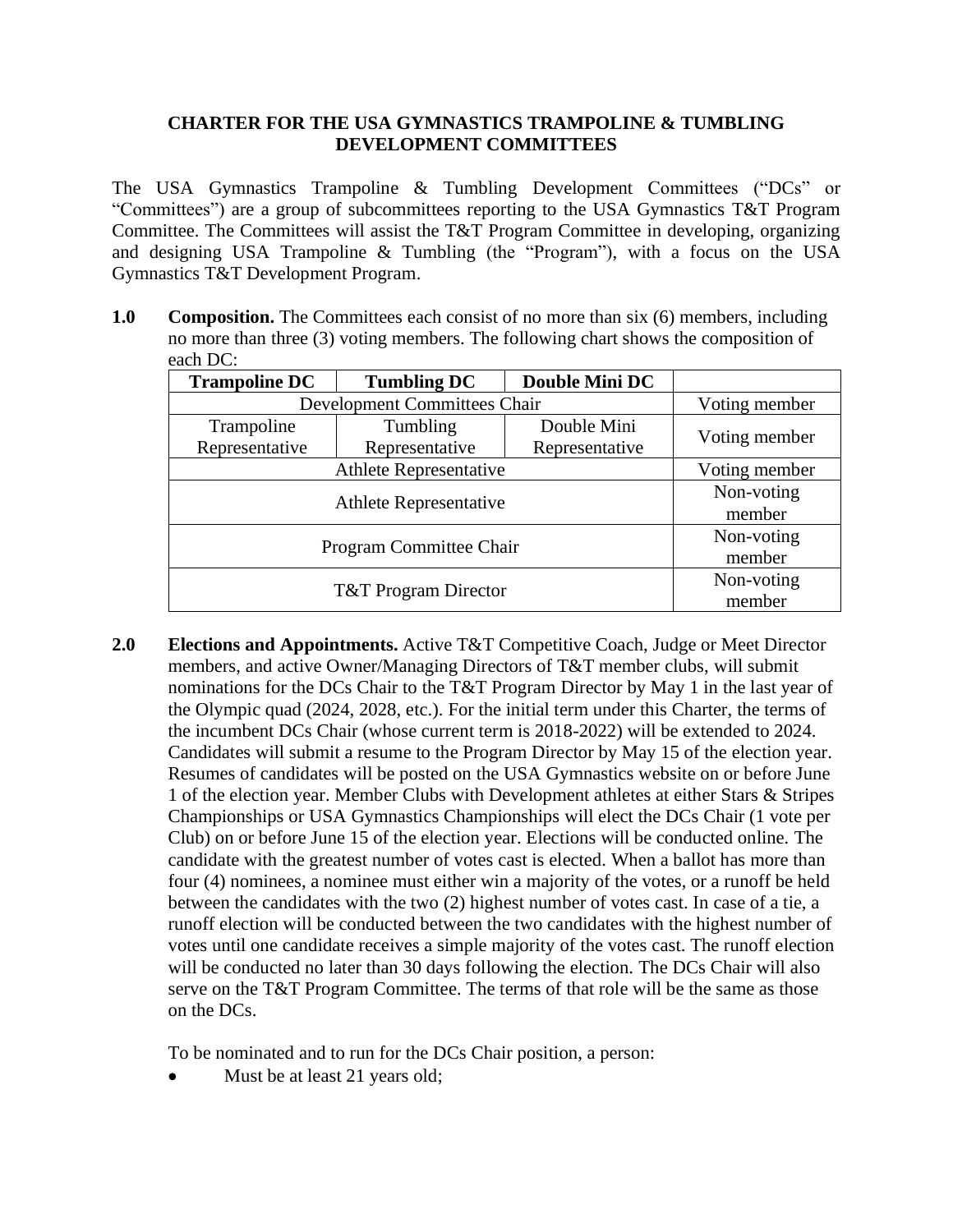## **CHARTER FOR THE USA GYMNASTICS TRAMPOLINE & TUMBLING DEVELOPMENT COMMITTEES**

The USA Gymnastics Trampoline & Tumbling Development Committees ("DCs" or "Committees") are a group of subcommittees reporting to the USA Gymnastics T&T Program Committee. The Committees will assist the T&T Program Committee in developing, organizing and designing USA Trampoline & Tumbling (the "Program"), with a focus on the USA Gymnastics T&T Development Program.

**1.0 Composition.** The Committees each consist of no more than six (6) members, including no more than three (3) voting members. The following chart shows the composition of each DC:

| <b>Trampoline DC</b>            | <b>Tumbling DC</b> | Double Mini DC |               |
|---------------------------------|--------------------|----------------|---------------|
| Development Committees Chair    |                    |                | Voting member |
| Trampoline                      | Tumbling           | Double Mini    | Voting member |
| Representative                  | Representative     | Representative |               |
| <b>Athlete Representative</b>   |                    |                | Voting member |
| <b>Athlete Representative</b>   |                    |                | Non-voting    |
|                                 |                    |                | member        |
| <b>Program Committee Chair</b>  |                    |                | Non-voting    |
|                                 |                    |                | member        |
| <b>T&amp;T</b> Program Director |                    |                | Non-voting    |
|                                 |                    |                | member        |

**2.0 Elections and Appointments.** Active T&T Competitive Coach, Judge or Meet Director members, and active Owner/Managing Directors of T&T member clubs, will submit nominations for the DCs Chair to the T&T Program Director by May 1 in the last year of the Olympic quad (2024, 2028, etc.). For the initial term under this Charter, the terms of the incumbent DCs Chair (whose current term is 2018-2022) will be extended to 2024. Candidates will submit a resume to the Program Director by May 15 of the election year. Resumes of candidates will be posted on the USA Gymnastics website on or before June 1 of the election year. Member Clubs with Development athletes at either Stars & Stripes Championships or USA Gymnastics Championships will elect the DCs Chair (1 vote per Club) on or before June 15 of the election year. Elections will be conducted online. The candidate with the greatest number of votes cast is elected. When a ballot has more than four (4) nominees, a nominee must either win a majority of the votes, or a runoff be held between the candidates with the two (2) highest number of votes cast. In case of a tie, a runoff election will be conducted between the two candidates with the highest number of votes until one candidate receives a simple majority of the votes cast. The runoff election will be conducted no later than 30 days following the election. The DCs Chair will also serve on the T&T Program Committee. The terms of that role will be the same as those on the DCs.

To be nominated and to run for the DCs Chair position, a person:

Must be at least 21 years old;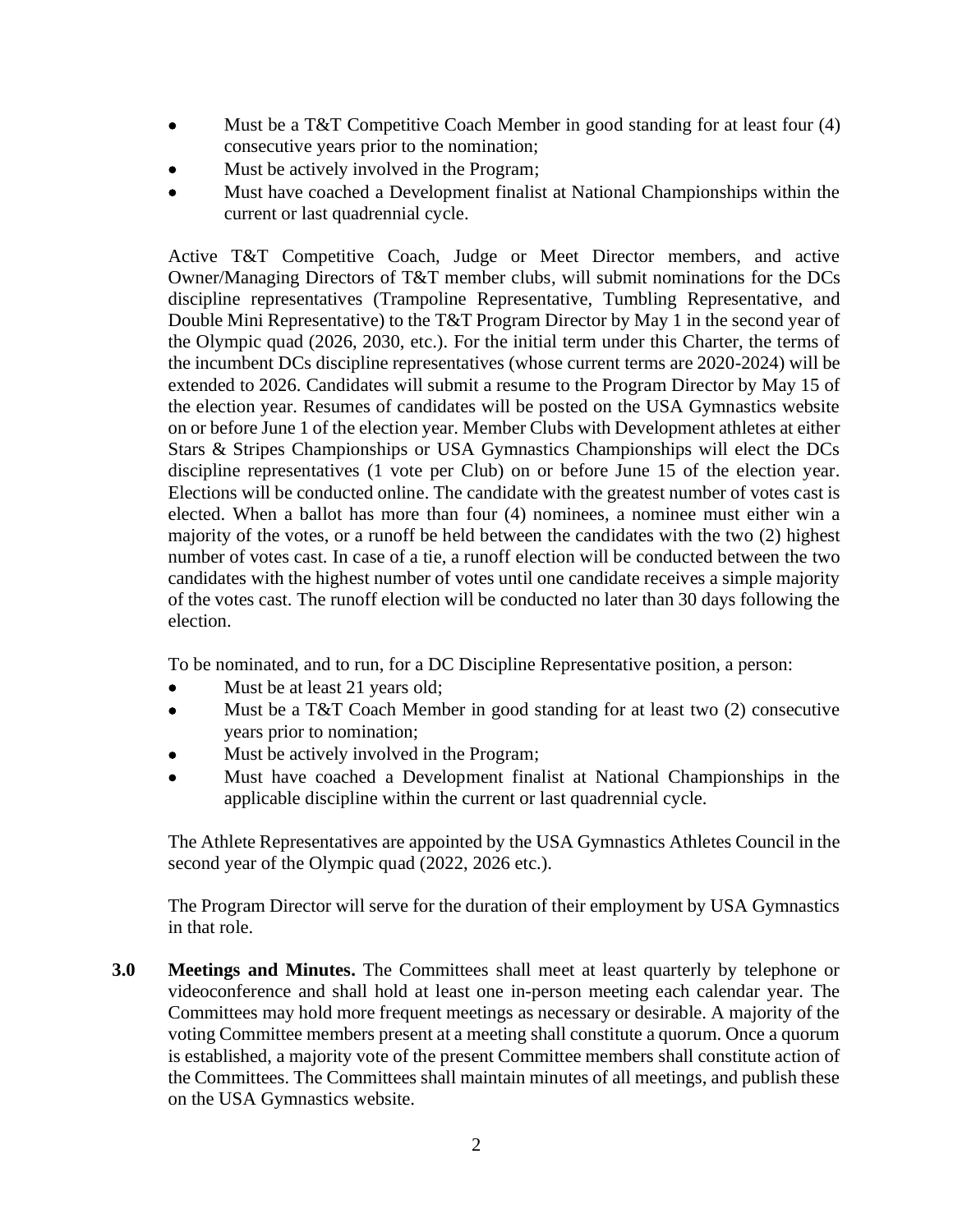- Must be a T&T Competitive Coach Member in good standing for at least four (4) consecutive years prior to the nomination;
- Must be actively involved in the Program;
- Must have coached a Development finalist at National Championships within the current or last quadrennial cycle.

Active T&T Competitive Coach, Judge or Meet Director members, and active Owner/Managing Directors of T&T member clubs, will submit nominations for the DCs discipline representatives (Trampoline Representative, Tumbling Representative, and Double Mini Representative) to the T&T Program Director by May 1 in the second year of the Olympic quad (2026, 2030, etc.). For the initial term under this Charter, the terms of the incumbent DCs discipline representatives (whose current terms are 2020-2024) will be extended to 2026. Candidates will submit a resume to the Program Director by May 15 of the election year. Resumes of candidates will be posted on the USA Gymnastics website on or before June 1 of the election year. Member Clubs with Development athletes at either Stars & Stripes Championships or USA Gymnastics Championships will elect the DCs discipline representatives (1 vote per Club) on or before June 15 of the election year. Elections will be conducted online. The candidate with the greatest number of votes cast is elected. When a ballot has more than four (4) nominees, a nominee must either win a majority of the votes, or a runoff be held between the candidates with the two (2) highest number of votes cast. In case of a tie, a runoff election will be conducted between the two candidates with the highest number of votes until one candidate receives a simple majority of the votes cast. The runoff election will be conducted no later than 30 days following the election.

To be nominated, and to run, for a DC Discipline Representative position, a person:

- Must be at least 21 years old;
- Must be a T&T Coach Member in good standing for at least two (2) consecutive years prior to nomination;
- Must be actively involved in the Program;
- Must have coached a Development finalist at National Championships in the applicable discipline within the current or last quadrennial cycle.

The Athlete Representatives are appointed by the USA Gymnastics Athletes Council in the second year of the Olympic quad (2022, 2026 etc.).

The Program Director will serve for the duration of their employment by USA Gymnastics in that role.

**3.0 Meetings and Minutes.** The Committees shall meet at least quarterly by telephone or videoconference and shall hold at least one in-person meeting each calendar year. The Committees may hold more frequent meetings as necessary or desirable. A majority of the voting Committee members present at a meeting shall constitute a quorum. Once a quorum is established, a majority vote of the present Committee members shall constitute action of the Committees. The Committees shall maintain minutes of all meetings, and publish these on the USA Gymnastics website.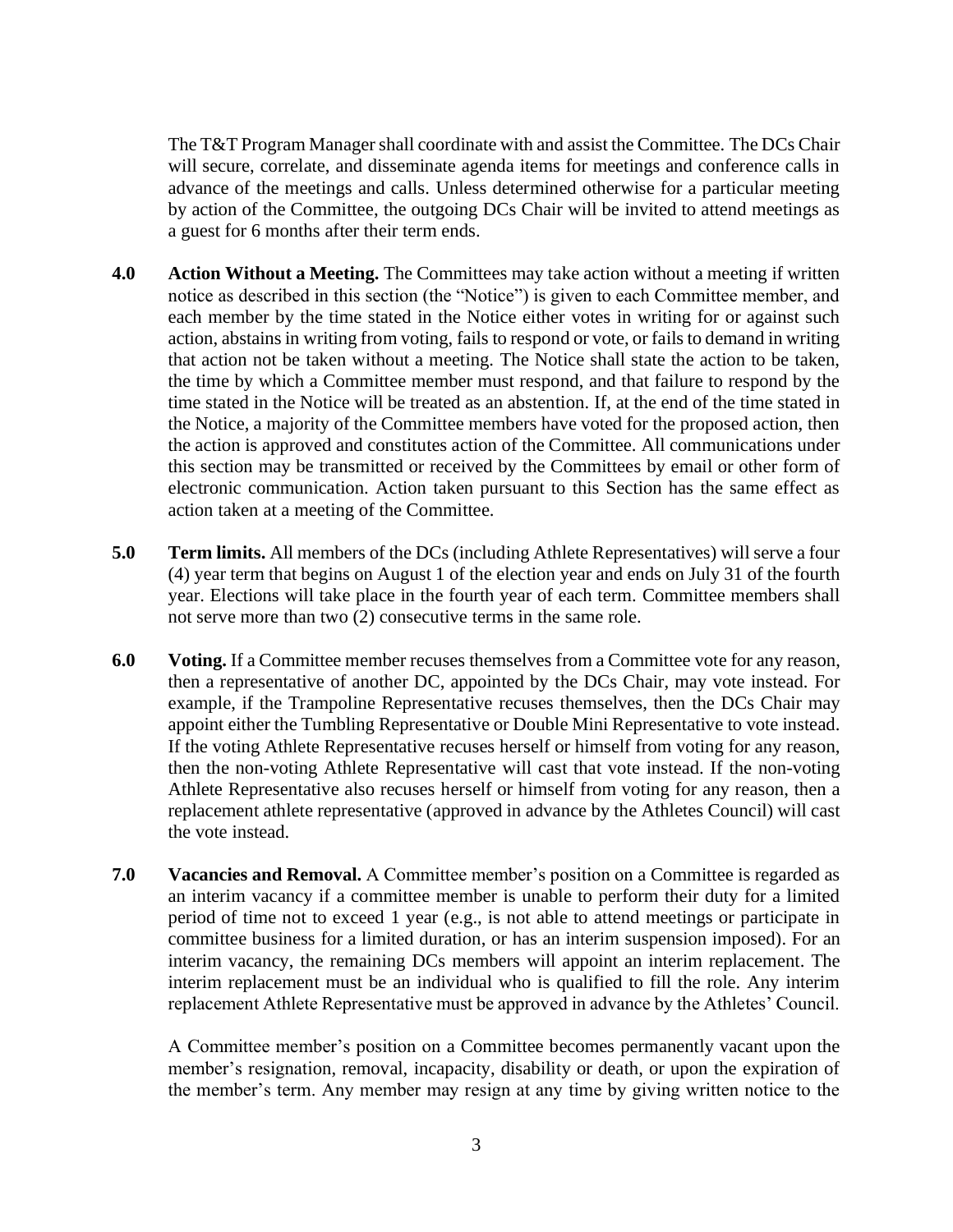The T&T Program Manager shall coordinate with and assist the Committee. The DCs Chair will secure, correlate, and disseminate agenda items for meetings and conference calls in advance of the meetings and calls. Unless determined otherwise for a particular meeting by action of the Committee, the outgoing DCs Chair will be invited to attend meetings as a guest for 6 months after their term ends.

- **4.0 Action Without a Meeting.** The Committees may take action without a meeting if written notice as described in this section (the "Notice") is given to each Committee member, and each member by the time stated in the Notice either votes in writing for or against such action, abstains in writing from voting, fails to respond or vote, or fails to demand in writing that action not be taken without a meeting. The Notice shall state the action to be taken, the time by which a Committee member must respond, and that failure to respond by the time stated in the Notice will be treated as an abstention. If, at the end of the time stated in the Notice, a majority of the Committee members have voted for the proposed action, then the action is approved and constitutes action of the Committee. All communications under this section may be transmitted or received by the Committees by email or other form of electronic communication. Action taken pursuant to this Section has the same effect as action taken at a meeting of the Committee.
- **5.0 Term limits.** All members of the DCs (including Athlete Representatives) will serve a four (4) year term that begins on August 1 of the election year and ends on July 31 of the fourth year. Elections will take place in the fourth year of each term. Committee members shall not serve more than two (2) consecutive terms in the same role.
- **6.0 Voting.** If a Committee member recuses themselves from a Committee vote for any reason, then a representative of another DC, appointed by the DCs Chair, may vote instead. For example, if the Trampoline Representative recuses themselves, then the DCs Chair may appoint either the Tumbling Representative or Double Mini Representative to vote instead. If the voting Athlete Representative recuses herself or himself from voting for any reason, then the non-voting Athlete Representative will cast that vote instead. If the non-voting Athlete Representative also recuses herself or himself from voting for any reason, then a replacement athlete representative (approved in advance by the Athletes Council) will cast the vote instead.
- **7.0 Vacancies and Removal.** A Committee member's position on a Committee is regarded as an interim vacancy if a committee member is unable to perform their duty for a limited period of time not to exceed 1 year (e.g., is not able to attend meetings or participate in committee business for a limited duration, or has an interim suspension imposed). For an interim vacancy, the remaining DCs members will appoint an interim replacement. The interim replacement must be an individual who is qualified to fill the role. Any interim replacement Athlete Representative must be approved in advance by the Athletes' Council.

A Committee member's position on a Committee becomes permanently vacant upon the member's resignation, removal, incapacity, disability or death, or upon the expiration of the member's term. Any member may resign at any time by giving written notice to the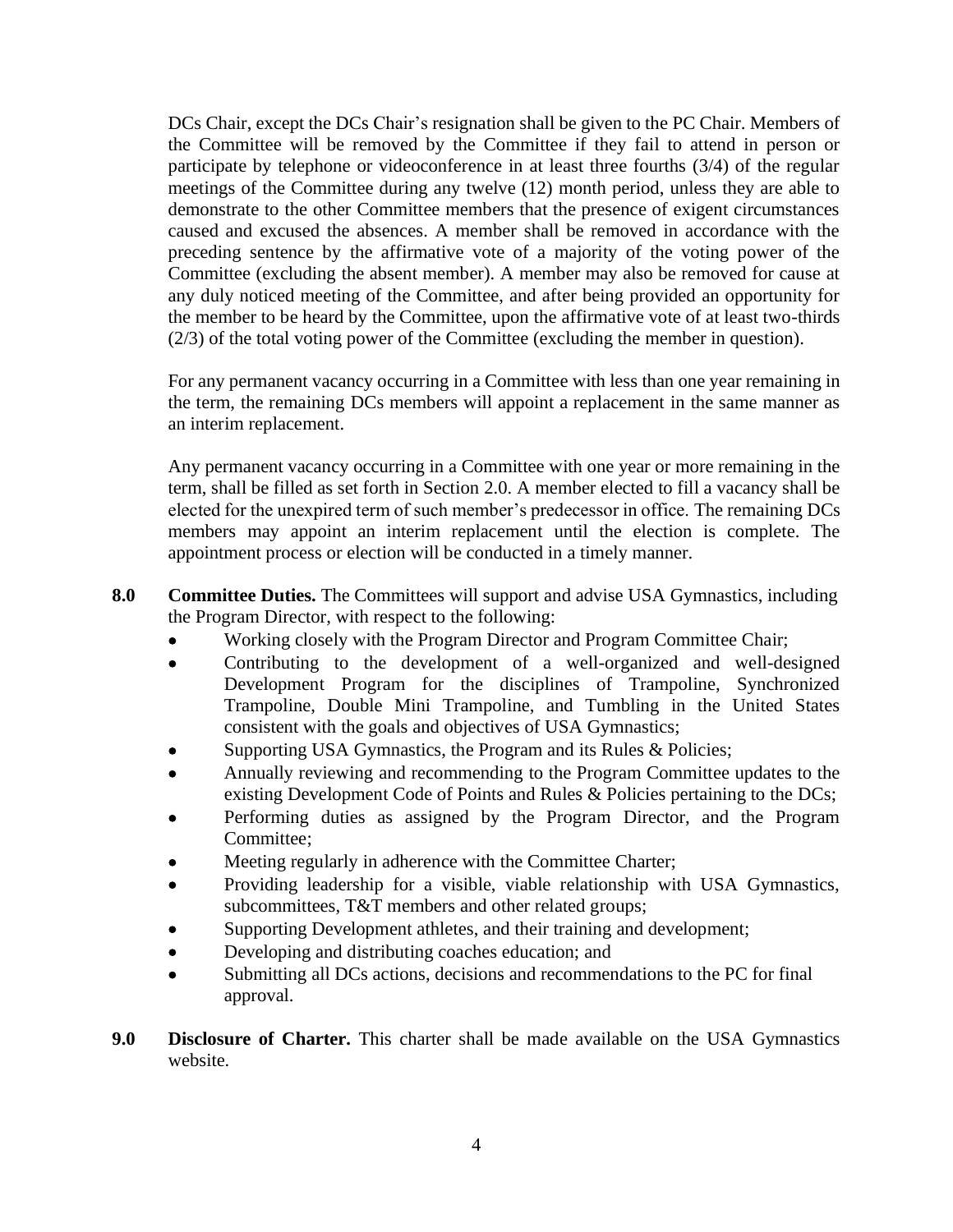DCs Chair, except the DCs Chair's resignation shall be given to the PC Chair. Members of the Committee will be removed by the Committee if they fail to attend in person or participate by telephone or videoconference in at least three fourths (3/4) of the regular meetings of the Committee during any twelve (12) month period, unless they are able to demonstrate to the other Committee members that the presence of exigent circumstances caused and excused the absences. A member shall be removed in accordance with the preceding sentence by the affirmative vote of a majority of the voting power of the Committee (excluding the absent member). A member may also be removed for cause at any duly noticed meeting of the Committee, and after being provided an opportunity for the member to be heard by the Committee, upon the affirmative vote of at least two-thirds (2/3) of the total voting power of the Committee (excluding the member in question).

For any permanent vacancy occurring in a Committee with less than one year remaining in the term, the remaining DCs members will appoint a replacement in the same manner as an interim replacement.

Any permanent vacancy occurring in a Committee with one year or more remaining in the term, shall be filled as set forth in Section 2.0. A member elected to fill a vacancy shall be elected for the unexpired term of such member's predecessor in office. The remaining DCs members may appoint an interim replacement until the election is complete. The appointment process or election will be conducted in a timely manner.

- **8.0 Committee Duties.** The Committees will support and advise USA Gymnastics, including the Program Director, with respect to the following:
	- Working closely with the Program Director and Program Committee Chair;
	- Contributing to the development of a well-organized and well-designed Development Program for the disciplines of Trampoline, Synchronized Trampoline, Double Mini Trampoline, and Tumbling in the United States consistent with the goals and objectives of USA Gymnastics;
	- Supporting USA Gymnastics, the Program and its Rules & Policies;
	- Annually reviewing and recommending to the Program Committee updates to the existing Development Code of Points and Rules & Policies pertaining to the DCs;
	- Performing duties as assigned by the Program Director, and the Program Committee;
	- Meeting regularly in adherence with the Committee Charter;
	- Providing leadership for a visible, viable relationship with USA Gymnastics, subcommittees, T&T members and other related groups;
	- Supporting Development athletes, and their training and development;
	- Developing and distributing coaches education; and
	- Submitting all DCs actions, decisions and recommendations to the PC for final approval.
- **9.0 Disclosure of Charter.** This charter shall be made available on the USA Gymnastics website.